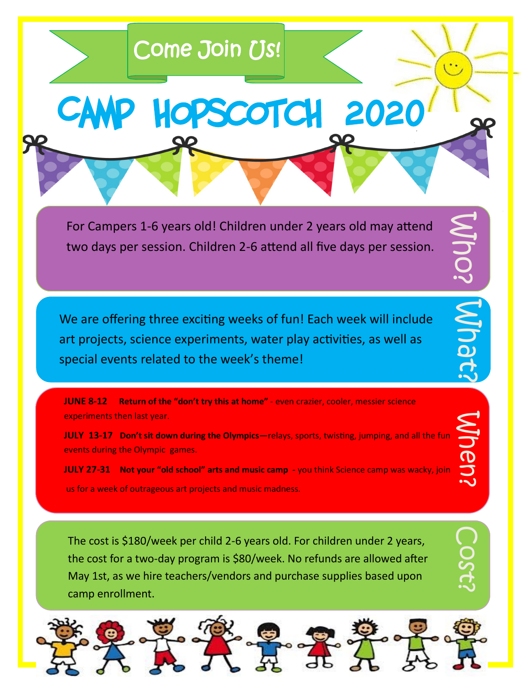